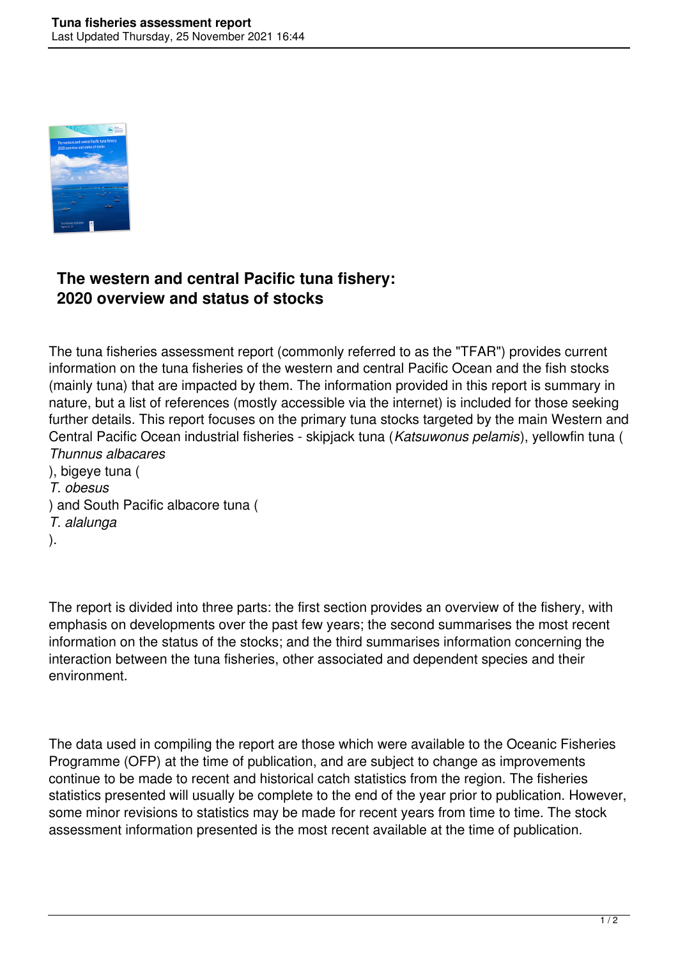

## **The western and central Pacific tuna fishery: 2020 overview and status of stocks**

The tuna fisheries assessment report (commonly referred to as the "TFAR") provides current information on the tuna fisheries of the western and central Pacific Ocean and the fish stocks (mainly tuna) that are impacted by them. The information provided in this report is summary in nature, but a list of references (mostly accessible via the internet) is included for those seeking further details. This report focuses on the primary tuna stocks targeted by the main Western and Central Pacific Ocean industrial fisheries - skipjack tuna (*Katsuwonus pelamis*), yellowfin tuna ( *Thunnus albacares*

), bigeye tuna ( *T. obesus* ) and South Pacific albacore tuna ( *T. alalunga* ).

The report is divided into three parts: the first section provides an overview of the fishery, with emphasis on developments over the past few years; the second summarises the most recent information on the status of the stocks; and the third summarises information concerning the interaction between the tuna fisheries, other associated and dependent species and their environment.

The data used in compiling the report are those which were available to the Oceanic Fisheries Programme (OFP) at the time of publication, and are subject to change as improvements continue to be made to recent and historical catch statistics from the region. The fisheries statistics presented will usually be complete to the end of the year prior to publication. However, some minor revisions to statistics may be made for recent years from time to time. The stock assessment information presented is the most recent available at the time of publication.